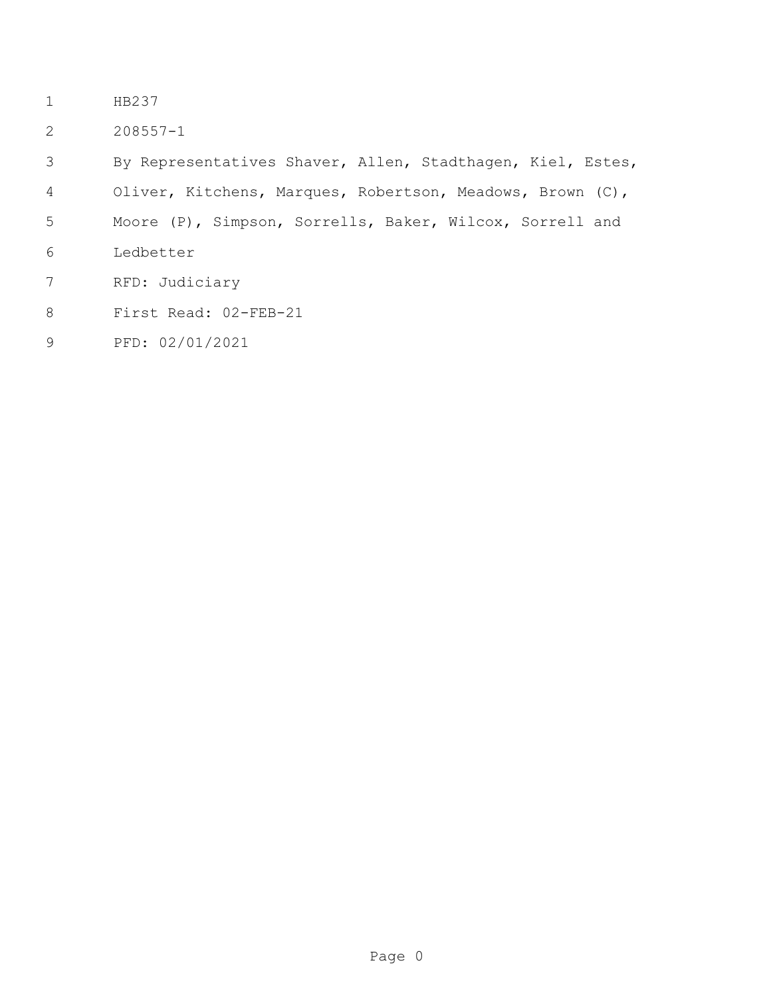- HB237
- 208557-1

By Representatives Shaver, Allen, Stadthagen, Kiel, Estes,

- Oliver, Kitchens, Marques, Robertson, Meadows, Brown (C),
- Moore (P), Simpson, Sorrells, Baker, Wilcox, Sorrell and
- Ledbetter
- RFD: Judiciary
- First Read: 02-FEB-21
- PFD: 02/01/2021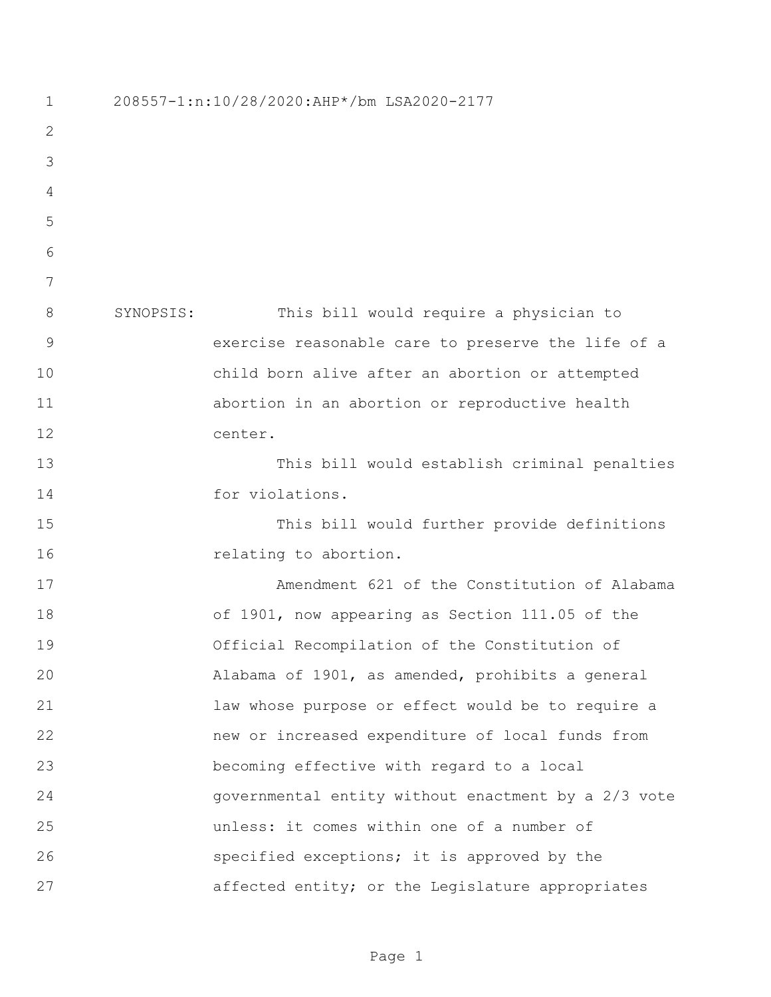208557-1:n:10/28/2020:AHP\*/bm LSA2020-2177 SYNOPSIS: This bill would require a physician to exercise reasonable care to preserve the life of a child born alive after an abortion or attempted abortion in an abortion or reproductive health center. This bill would establish criminal penalties for violations. This bill would further provide definitions **relating to abortion.**  Amendment 621 of the Constitution of Alabama of 1901, now appearing as Section 111.05 of the Official Recompilation of the Constitution of Alabama of 1901, as amended, prohibits a general law whose purpose or effect would be to require a new or increased expenditure of local funds from becoming effective with regard to a local governmental entity without enactment by a 2/3 vote unless: it comes within one of a number of specified exceptions; it is approved by the affected entity; or the Legislature appropriates

Page 1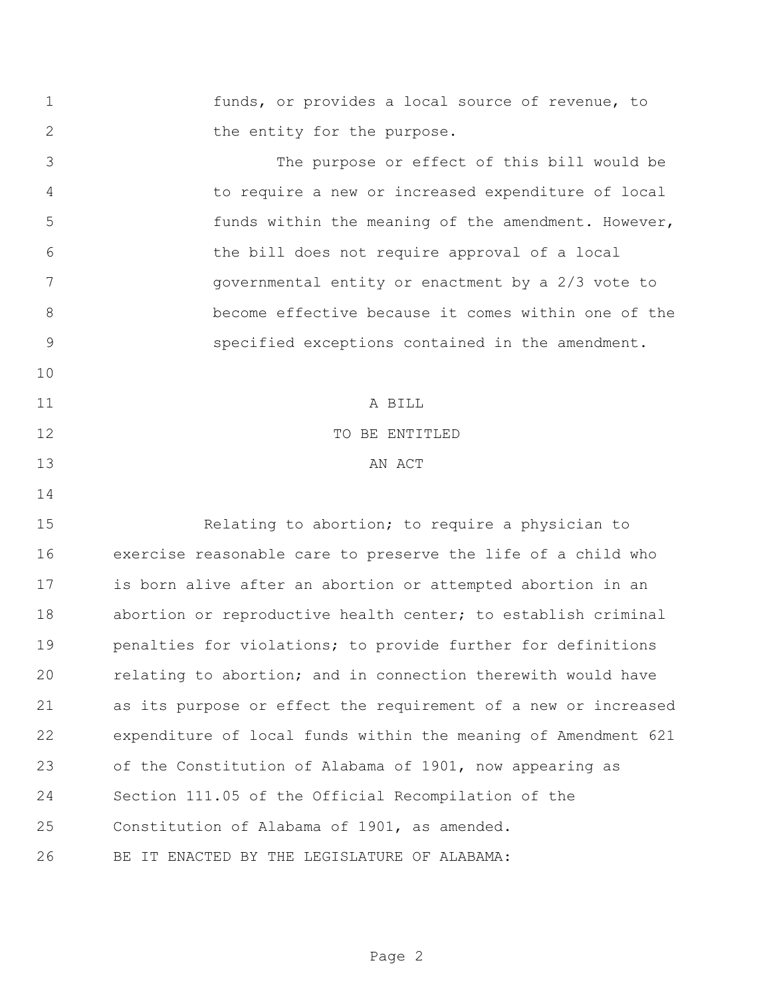funds, or provides a local source of revenue, to 2 the entity for the purpose. The purpose or effect of this bill would be to require a new or increased expenditure of local funds within the meaning of the amendment. However, the bill does not require approval of a local governmental entity or enactment by a 2/3 vote to become effective because it comes within one of the specified exceptions contained in the amendment. A BILL 12 TO BE ENTITLED 13 AN ACT Relating to abortion; to require a physician to exercise reasonable care to preserve the life of a child who is born alive after an abortion or attempted abortion in an abortion or reproductive health center; to establish criminal penalties for violations; to provide further for definitions relating to abortion; and in connection therewith would have as its purpose or effect the requirement of a new or increased expenditure of local funds within the meaning of Amendment 621 of the Constitution of Alabama of 1901, now appearing as Section 111.05 of the Official Recompilation of the Constitution of Alabama of 1901, as amended. BE IT ENACTED BY THE LEGISLATURE OF ALABAMA: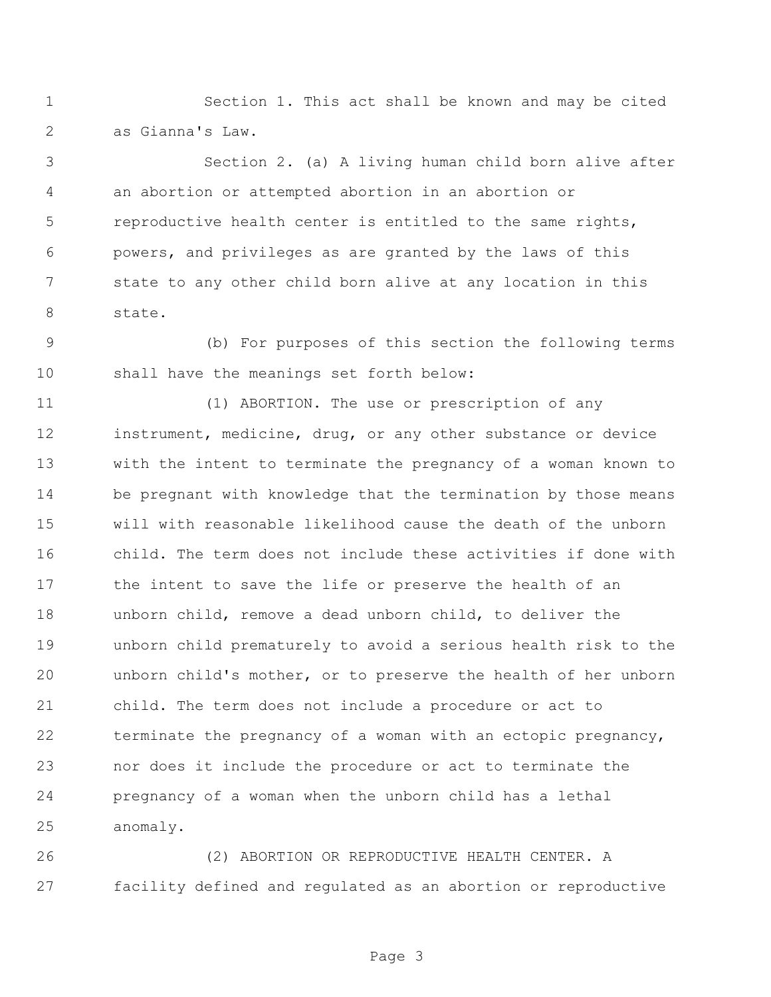Section 1. This act shall be known and may be cited as Gianna's Law.

 Section 2. (a) A living human child born alive after an abortion or attempted abortion in an abortion or reproductive health center is entitled to the same rights, powers, and privileges as are granted by the laws of this state to any other child born alive at any location in this state.

 (b) For purposes of this section the following terms shall have the meanings set forth below:

 (1) ABORTION. The use or prescription of any instrument, medicine, drug, or any other substance or device with the intent to terminate the pregnancy of a woman known to be pregnant with knowledge that the termination by those means will with reasonable likelihood cause the death of the unborn child. The term does not include these activities if done with the intent to save the life or preserve the health of an unborn child, remove a dead unborn child, to deliver the unborn child prematurely to avoid a serious health risk to the unborn child's mother, or to preserve the health of her unborn child. The term does not include a procedure or act to terminate the pregnancy of a woman with an ectopic pregnancy, nor does it include the procedure or act to terminate the pregnancy of a woman when the unborn child has a lethal anomaly.

 (2) ABORTION OR REPRODUCTIVE HEALTH CENTER. A facility defined and regulated as an abortion or reproductive

Page 3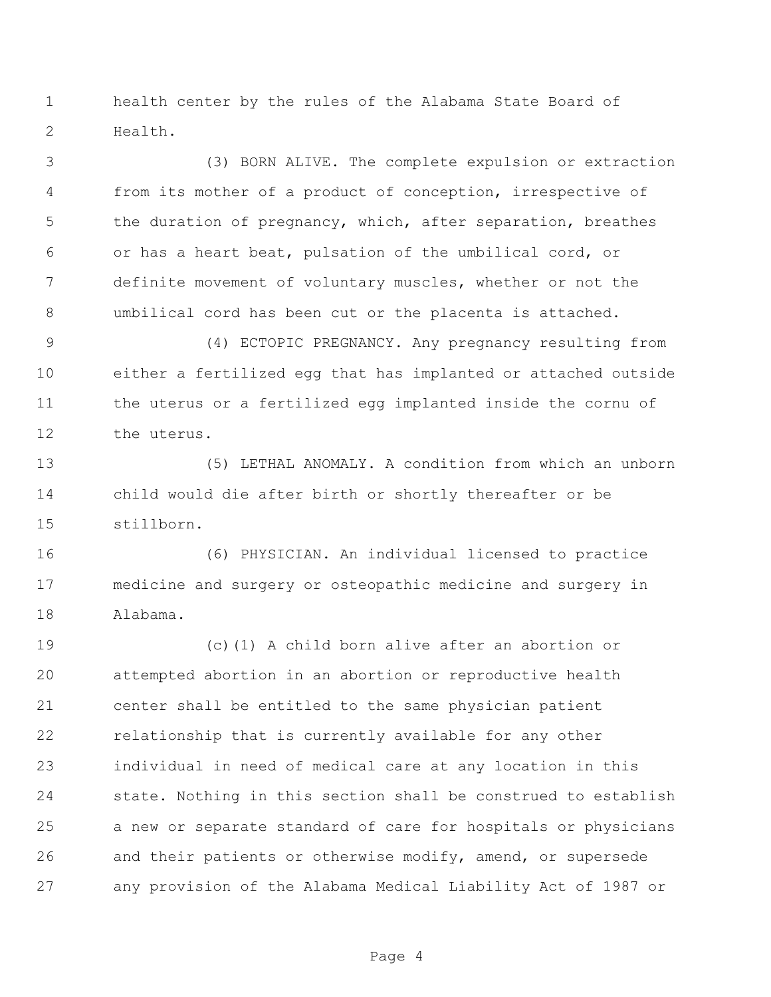health center by the rules of the Alabama State Board of Health.

 (3) BORN ALIVE. The complete expulsion or extraction from its mother of a product of conception, irrespective of the duration of pregnancy, which, after separation, breathes or has a heart beat, pulsation of the umbilical cord, or definite movement of voluntary muscles, whether or not the umbilical cord has been cut or the placenta is attached.

 (4) ECTOPIC PREGNANCY. Any pregnancy resulting from either a fertilized egg that has implanted or attached outside the uterus or a fertilized egg implanted inside the cornu of the uterus.

 (5) LETHAL ANOMALY. A condition from which an unborn child would die after birth or shortly thereafter or be stillborn.

 (6) PHYSICIAN. An individual licensed to practice medicine and surgery or osteopathic medicine and surgery in Alabama.

 (c)(1) A child born alive after an abortion or attempted abortion in an abortion or reproductive health center shall be entitled to the same physician patient relationship that is currently available for any other individual in need of medical care at any location in this state. Nothing in this section shall be construed to establish a new or separate standard of care for hospitals or physicians and their patients or otherwise modify, amend, or supersede any provision of the Alabama Medical Liability Act of 1987 or

Page 4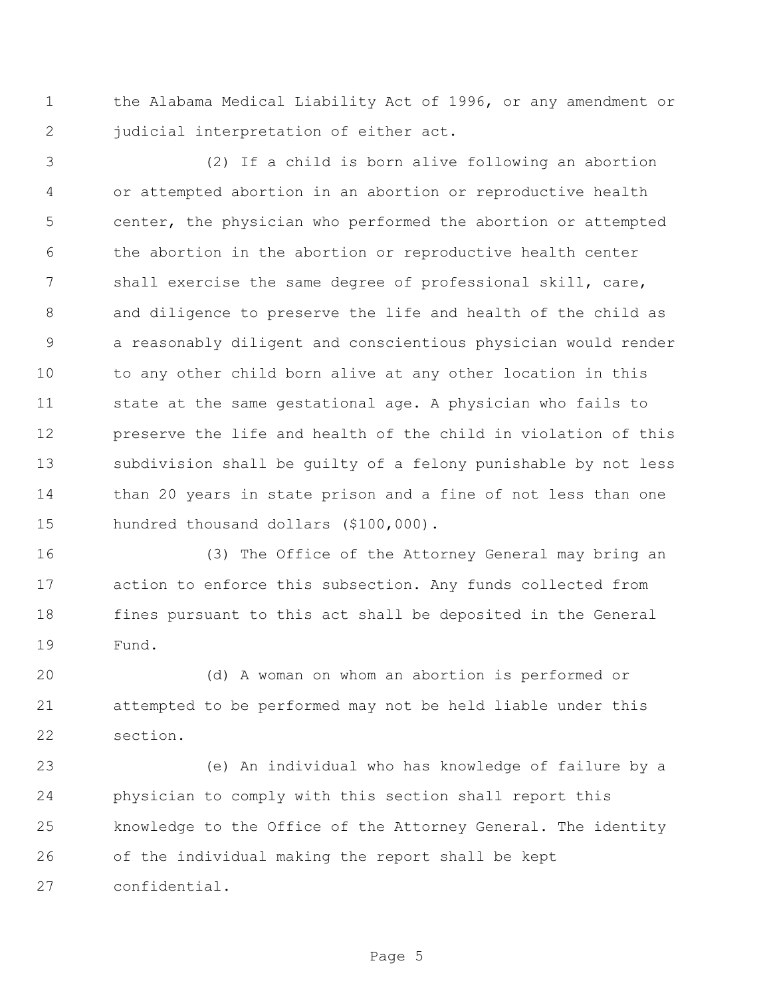the Alabama Medical Liability Act of 1996, or any amendment or 2 judicial interpretation of either act.

 (2) If a child is born alive following an abortion or attempted abortion in an abortion or reproductive health center, the physician who performed the abortion or attempted the abortion in the abortion or reproductive health center 7 shall exercise the same degree of professional skill, care, and diligence to preserve the life and health of the child as a reasonably diligent and conscientious physician would render to any other child born alive at any other location in this state at the same gestational age. A physician who fails to preserve the life and health of the child in violation of this subdivision shall be guilty of a felony punishable by not less than 20 years in state prison and a fine of not less than one hundred thousand dollars (\$100,000).

 (3) The Office of the Attorney General may bring an action to enforce this subsection. Any funds collected from fines pursuant to this act shall be deposited in the General Fund.

 (d) A woman on whom an abortion is performed or attempted to be performed may not be held liable under this section.

 (e) An individual who has knowledge of failure by a physician to comply with this section shall report this knowledge to the Office of the Attorney General. The identity of the individual making the report shall be kept confidential.